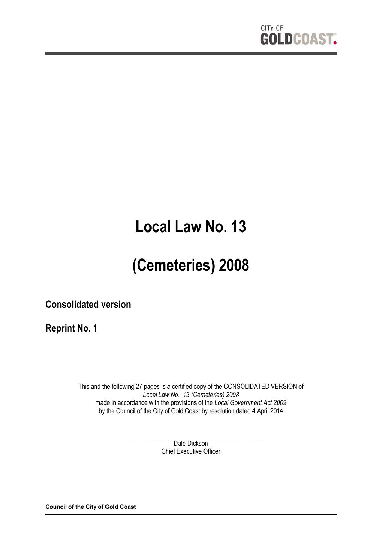

# **Local Law No. 13**

# **(Cemeteries) 2008**

**Consolidated version**

**Reprint No. 1**

This and the following 27 pages is a certified copy of the CONSOLIDATED VERSION of *Local Law No. 13 (Cemeteries) 2008* made in accordance with the provisions of the *Local Government Act 2009* by the Council of the City of Gold Coast by resolution dated 4 April 2014

> \_\_\_\_\_\_\_\_\_\_\_\_\_\_\_\_\_\_\_\_\_\_\_\_\_\_\_\_\_\_\_\_\_\_\_\_\_\_\_\_\_\_\_\_\_\_\_ Dale Dickson Chief Executive Officer

**Council of the City of Gold Coast**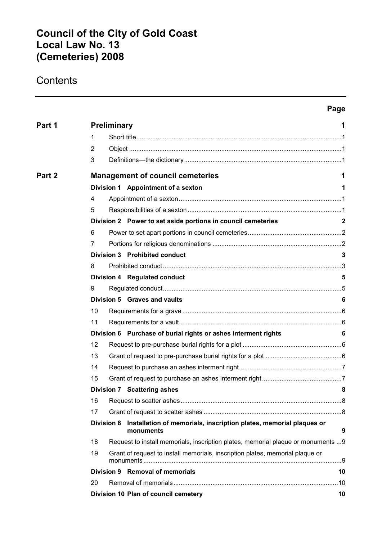# **Council of the City of Gold Coast Local Law No. 13 (Cemeteries) 2008**

# **Contents**

|        |                |                   |                                                                                   | Page         |
|--------|----------------|-------------------|-----------------------------------------------------------------------------------|--------------|
| Part 1 |                | Preliminary       |                                                                                   | 1            |
|        | 1              |                   |                                                                                   |              |
|        | $\overline{2}$ |                   |                                                                                   |              |
|        | 3              |                   |                                                                                   |              |
| Part 2 |                |                   | <b>Management of council cemeteries</b>                                           | 1            |
|        |                |                   | Division 1 Appointment of a sexton                                                | 1            |
|        | 4              |                   |                                                                                   |              |
|        | 5              |                   |                                                                                   |              |
|        |                |                   | Division 2 Power to set aside portions in council cemeteries                      | $\mathbf{2}$ |
|        | 6              |                   |                                                                                   |              |
|        | 7              |                   |                                                                                   |              |
|        |                |                   | <b>Division 3 Prohibited conduct</b>                                              | 3            |
|        | 8              |                   |                                                                                   |              |
|        |                |                   | Division 4 Regulated conduct                                                      | 5            |
|        | 9              |                   |                                                                                   |              |
|        |                |                   | Division 5 Graves and vaults                                                      | 6            |
|        | 10             |                   |                                                                                   |              |
|        | 11             |                   |                                                                                   |              |
|        |                |                   | Division 6 Purchase of burial rights or ashes interment rights                    | 6            |
|        | 12             |                   |                                                                                   |              |
|        | 13             |                   |                                                                                   |              |
|        | 14             |                   |                                                                                   |              |
|        | 15             |                   |                                                                                   |              |
|        |                |                   | $\sim$ 8<br>Division 7 Scattering ashes                                           |              |
|        | 16             |                   |                                                                                   |              |
|        | 17             |                   |                                                                                   |              |
|        |                | <b>Division 8</b> | Installation of memorials, inscription plates, memorial plaques or<br>monuments   | 9            |
|        | 18             |                   | Request to install memorials, inscription plates, memorial plaque or monuments  9 |              |
|        | 19             |                   | Grant of request to install memorials, inscription plates, memorial plaque or     |              |
|        |                |                   | Division 9 Removal of memorials                                                   | 10           |
|        | 20             |                   |                                                                                   | .10          |
|        |                |                   | Division 10 Plan of council cemetery                                              | 10           |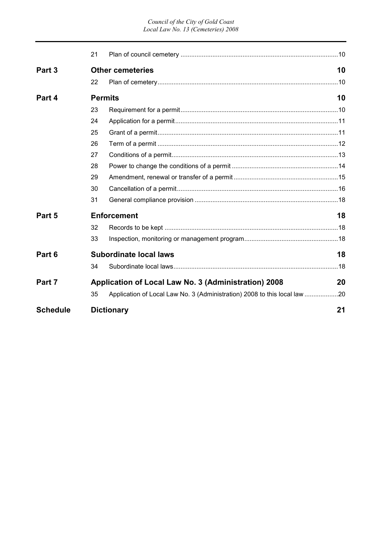|                   | 21 |                                                                           |    |
|-------------------|----|---------------------------------------------------------------------------|----|
| Part <sub>3</sub> |    | <b>Other cemeteries</b>                                                   | 10 |
|                   | 22 |                                                                           |    |
| Part 4            |    | <b>Permits</b>                                                            | 10 |
|                   | 23 |                                                                           |    |
|                   | 24 |                                                                           |    |
|                   | 25 |                                                                           |    |
|                   | 26 |                                                                           |    |
|                   | 27 |                                                                           |    |
|                   | 28 |                                                                           |    |
|                   | 29 |                                                                           |    |
|                   | 30 |                                                                           |    |
|                   | 31 |                                                                           |    |
| Part 5            |    | <b>Enforcement</b>                                                        | 18 |
|                   | 32 |                                                                           |    |
|                   | 33 |                                                                           |    |
| Part 6            |    | <b>Subordinate local laws</b>                                             | 18 |
|                   | 34 |                                                                           |    |
| Part 7            |    | Application of Local Law No. 3 (Administration) 2008                      | 20 |
|                   | 35 | Application of Local Law No. 3 (Administration) 2008 to this local law 20 |    |
| <b>Schedule</b>   |    | <b>Dictionary</b>                                                         | 21 |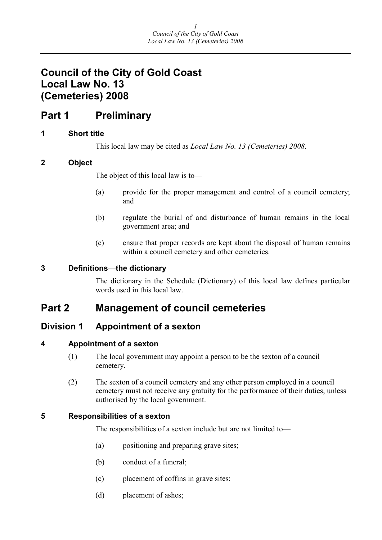# **Council of the City of Gold Coast Local Law No. 13 (Cemeteries) 2008**

# **Part 1 Preliminary**

# **1 Short title**

This local law may be cited as *Local Law No. 13 (Cemeteries) 2008*.

# **2 Object**

The object of this local law is to—

- (a) provide for the proper management and control of a council cemetery; and
- (b) regulate the burial of and disturbance of human remains in the local government area; and
- (c) ensure that proper records are kept about the disposal of human remains within a council cemetery and other cemeteries.

# **3 Definitions—the dictionary**

The dictionary in the Schedule (Dictionary) of this local law defines particular words used in this local law.

# **Part 2 Management of council cemeteries**

# **Division 1 Appointment of a sexton**

# **4 Appointment of a sexton**

- (1) The local government may appoint a person to be the sexton of a council cemetery.
- (2) The sexton of a council cemetery and any other person employed in a council cemetery must not receive any gratuity for the performance of their duties, unless authorised by the local government.

# **5 Responsibilities of a sexton**

The responsibilities of a sexton include but are not limited to—

- (a) positioning and preparing grave sites;
- (b) conduct of a funeral;
- (c) placement of coffins in grave sites;
- (d) placement of ashes;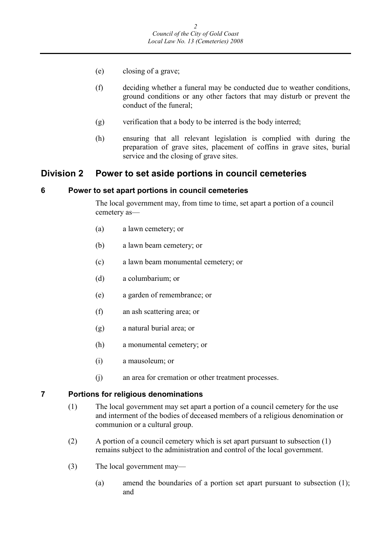- (e) closing of a grave;
- (f) deciding whether a funeral may be conducted due to weather conditions, ground conditions or any other factors that may disturb or prevent the conduct of the funeral;
- (g) verification that a body to be interred is the body interred;
- (h) ensuring that all relevant legislation is complied with during the preparation of grave sites, placement of coffins in grave sites, burial service and the closing of grave sites.

# **Division 2 Power to set aside portions in council cemeteries**

### **6 Power to set apart portions in council cemeteries**

The local government may, from time to time, set apart a portion of a council cemetery as—

- (a) a lawn cemetery; or
- (b) a lawn beam cemetery; or
- (c) a lawn beam monumental cemetery; or
- (d) a columbarium; or
- (e) a garden of remembrance; or
- (f) an ash scattering area; or
- (g) a natural burial area; or
- (h) a monumental cemetery; or
- (i) a mausoleum; or
- (j) an area for cremation or other treatment processes.

### **7 Portions for religious denominations**

- (1) The local government may set apart a portion of a council cemetery for the use and interment of the bodies of deceased members of a religious denomination or communion or a cultural group.
- (2) A portion of a council cemetery which is set apart pursuant to subsection (1) remains subject to the administration and control of the local government.
- (3) The local government may—
	- (a) amend the boundaries of a portion set apart pursuant to subsection (1); and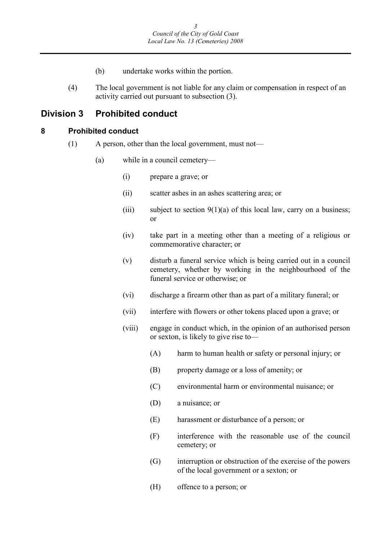- (b) undertake works within the portion.
- (4) The local government is not liable for any claim or compensation in respect of an activity carried out pursuant to subsection (3).

# **Division 3 Prohibited conduct**

#### **8 Prohibited conduct**

- (1) A person, other than the local government, must not—
	- (a) while in a council cemetery—
		- (i) prepare a grave; or
		- (ii) scatter ashes in an ashes scattering area; or
		- (iii) subject to section  $9(1)(a)$  of this local law, carry on a business; or
		- (iv) take part in a meeting other than a meeting of a religious or commemorative character; or
		- (v) disturb a funeral service which is being carried out in a council cemetery, whether by working in the neighbourhood of the funeral service or otherwise; or
		- (vi) discharge a firearm other than as part of a military funeral; or
		- (vii) interfere with flowers or other tokens placed upon a grave; or
		- (viii) engage in conduct which, in the opinion of an authorised person or sexton, is likely to give rise to—
			- (A) harm to human health or safety or personal injury; or
			- (B) property damage or a loss of amenity; or
			- (C) environmental harm or environmental nuisance; or
			- (D) a nuisance; or
			- (E) harassment or disturbance of a person; or
			- (F) interference with the reasonable use of the council cemetery; or
			- (G) interruption or obstruction of the exercise of the powers of the local government or a sexton; or
			- (H) offence to a person; or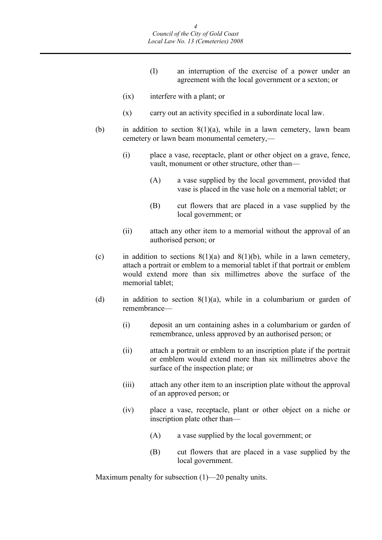- (I) an interruption of the exercise of a power under an agreement with the local government or a sexton; or
- (ix) interfere with a plant; or
- (x) carry out an activity specified in a subordinate local law.
- (b) in addition to section  $8(1)(a)$ , while in a lawn cemetery, lawn beam cemetery or lawn beam monumental cemetery,—
	- (i) place a vase, receptacle, plant or other object on a grave, fence, vault, monument or other structure, other than—
		- (A) a vase supplied by the local government, provided that vase is placed in the vase hole on a memorial tablet; or
		- (B) cut flowers that are placed in a vase supplied by the local government; or
	- (ii) attach any other item to a memorial without the approval of an authorised person; or
- (c) in addition to sections  $8(1)(a)$  and  $8(1)(b)$ , while in a lawn cemetery, attach a portrait or emblem to a memorial tablet if that portrait or emblem would extend more than six millimetres above the surface of the memorial tablet;
- (d) in addition to section  $8(1)(a)$ , while in a columbarium or garden of remembrance—
	- (i) deposit an urn containing ashes in a columbarium or garden of remembrance, unless approved by an authorised person; or
	- (ii) attach a portrait or emblem to an inscription plate if the portrait or emblem would extend more than six millimetres above the surface of the inspection plate; or
	- (iii) attach any other item to an inscription plate without the approval of an approved person; or
	- (iv) place a vase, receptacle, plant or other object on a niche or inscription plate other than—
		- (A) a vase supplied by the local government; or
		- (B) cut flowers that are placed in a vase supplied by the local government.

Maximum penalty for subsection (1)—20 penalty units.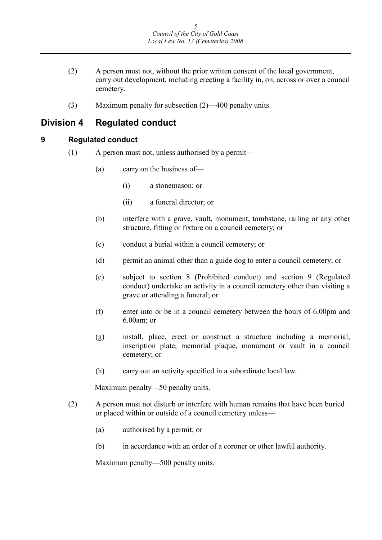- (2) A person must not, without the prior written consent of the local government, carry out development, including erecting a facility in, on, across or over a council cemetery.
- (3) Maximum penalty for subsection (2)—400 penalty units

# **Division 4 Regulated conduct**

### **9 Regulated conduct**

- (1) A person must not, unless authorised by a permit—
	- (a) carry on the business of—
		- (i) a stonemason; or
		- (ii) a funeral director; or
	- (b) interfere with a grave, vault, monument, tombstone, railing or any other structure, fitting or fixture on a council cemetery; or
	- (c) conduct a burial within a council cemetery; or
	- (d) permit an animal other than a guide dog to enter a council cemetery; or
	- (e) subject to section 8 (Prohibited conduct) and section 9 (Regulated conduct) undertake an activity in a council cemetery other than visiting a grave or attending a funeral; or
	- (f) enter into or be in a council cemetery between the hours of 6.00pm and 6.00am; or
	- (g) install, place, erect or construct a structure including a memorial, inscription plate, memorial plaque, monument or vault in a council cemetery; or
	- (h) carry out an activity specified in a subordinate local law.

Maximum penalty—50 penalty units.

- (2) A person must not disturb or interfere with human remains that have been buried or placed within or outside of a council cemetery unless—
	- (a) authorised by a permit; or
	- (b) in accordance with an order of a coroner or other lawful authority.

Maximum penalty—500 penalty units.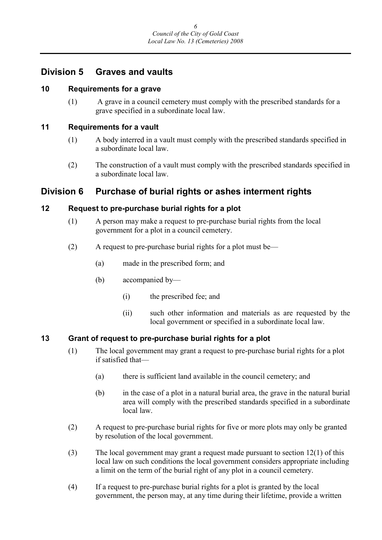# **Division 5 Graves and vaults**

# **10 Requirements for a grave**

(1) A grave in a council cemetery must comply with the prescribed standards for a grave specified in a subordinate local law.

### **11 Requirements for a vault**

- (1) A body interred in a vault must comply with the prescribed standards specified in a subordinate local law.
- (2) The construction of a vault must comply with the prescribed standards specified in a subordinate local law.

# **Division 6 Purchase of burial rights or ashes interment rights**

# **12 Request to pre-purchase burial rights for a plot**

- (1) A person may make a request to pre-purchase burial rights from the local government for a plot in a council cemetery.
- (2) A request to pre-purchase burial rights for a plot must be—
	- (a) made in the prescribed form; and
	- (b) accompanied by—
		- (i) the prescribed fee; and
		- (ii) such other information and materials as are requested by the local government or specified in a subordinate local law.

# **13 Grant of request to pre-purchase burial rights for a plot**

- (1) The local government may grant a request to pre-purchase burial rights for a plot if satisfied that—
	- (a) there is sufficient land available in the council cemetery; and
	- (b) in the case of a plot in a natural burial area, the grave in the natural burial area will comply with the prescribed standards specified in a subordinate local law.
- (2) A request to pre-purchase burial rights for five or more plots may only be granted by resolution of the local government.
- (3) The local government may grant a request made pursuant to section 12(1) of this local law on such conditions the local government considers appropriate including a limit on the term of the burial right of any plot in a council cemetery.
- (4) If a request to pre-purchase burial rights for a plot is granted by the local government, the person may, at any time during their lifetime, provide a written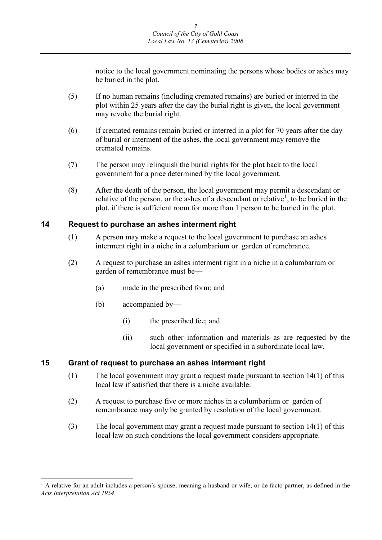notice to the local government nominating the persons whose bodies or ashes may be buried in the plot.

- (5) If no human remains (including cremated remains) are buried or interred in the plot within 25 years after the day the burial right is given, the local government may revoke the burial right.
- (6) If cremated remains remain buried or interred in a plot for 70 years after the day of burial or interment of the ashes, the local government may remove the cremated remains.
- (7) The person may relinquish the burial rights for the plot back to the local government for a price determined by the local government.
- (8) After the death of the person, the local government may permit a descendant or relative of the person, or the ashes of a descendant or relative<sup>[1](#page-9-0)</sup>, to be buried in the plot, if there is sufficient room for more than 1 person to be buried in the plot.

### **14 Request to purchase an ashes interment right**

- (1) A person may make a request to the local government to purchase an ashes interment right in a niche in a columbarium or garden of remebrance.
- (2) A request to purchase an ashes interment right in a niche in a columbarium or garden of remembrance must be—
	- (a) made in the prescribed form; and
	- (b) accompanied by—
		- (i) the prescribed fee; and
		- (ii) such other information and materials as are requested by the local government or specified in a subordinate local law.

# **15 Grant of request to purchase an ashes interment right**

- (1) The local government may grant a request made pursuant to section 14(1) of this local law if satisfied that there is a niche available.
- (2) A request to purchase five or more niches in a columbarium or garden of remembrance may only be granted by resolution of the local government.
- (3) The local government may grant a request made pursuant to section 14(1) of this local law on such conditions the local government considers appropriate.

<span id="page-9-0"></span><sup>&</sup>lt;sup>1</sup> A relative for an adult includes a person's spouse; meaning a husband or wife; or de facto partner, as defined in the *Acts Interpretation Act 1954*.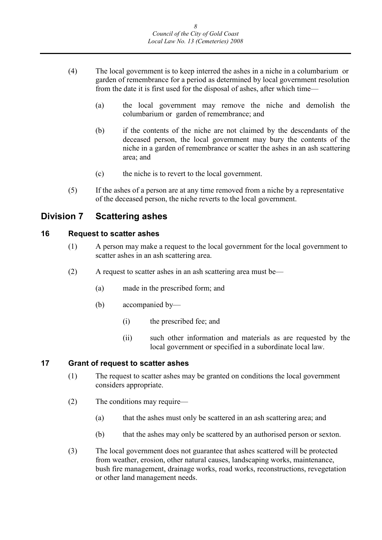- (4) The local government is to keep interred the ashes in a niche in a columbarium or garden of remembrance for a period as determined by local government resolution from the date it is first used for the disposal of ashes, after which time—
	- (a) the local government may remove the niche and demolish the columbarium or garden of remembrance; and
	- (b) if the contents of the niche are not claimed by the descendants of the deceased person, the local government may bury the contents of the niche in a garden of remembrance or scatter the ashes in an ash scattering area; and
	- (c) the niche is to revert to the local government.
- (5) If the ashes of a person are at any time removed from a niche by a representative of the deceased person, the niche reverts to the local government.

# **Division 7 Scattering ashes**

# **16 Request to scatter ashes**

- (1) A person may make a request to the local government for the local government to scatter ashes in an ash scattering area.
- (2) A request to scatter ashes in an ash scattering area must be—
	- (a) made in the prescribed form; and
	- (b) accompanied by—
		- (i) the prescribed fee; and
		- (ii) such other information and materials as are requested by the local government or specified in a subordinate local law.

## **17 Grant of request to scatter ashes**

- (1) The request to scatter ashes may be granted on conditions the local government considers appropriate.
- (2) The conditions may require—
	- (a) that the ashes must only be scattered in an ash scattering area; and
	- (b) that the ashes may only be scattered by an authorised person or sexton.
- (3) The local government does not guarantee that ashes scattered will be protected from weather, erosion, other natural causes, landscaping works, maintenance, bush fire management, drainage works, road works, reconstructions, revegetation or other land management needs.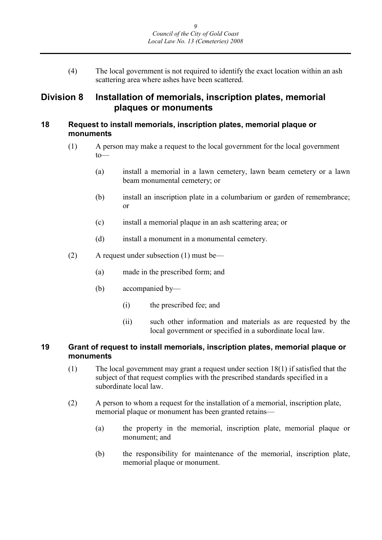(4) The local government is not required to identify the exact location within an ash scattering area where ashes have been scattered.

# **Division 8 Installation of memorials, inscription plates, memorial plaques or monuments**

## **18 Request to install memorials, inscription plates, memorial plaque or monuments**

- (1) A person may make a request to the local government for the local government to—
	- (a) install a memorial in a lawn cemetery, lawn beam cemetery or a lawn beam monumental cemetery; or
	- (b) install an inscription plate in a columbarium or garden of remembrance; or
	- (c) install a memorial plaque in an ash scattering area; or
	- (d) install a monument in a monumental cemetery.
- (2) A request under subsection (1) must be—
	- (a) made in the prescribed form; and
	- (b) accompanied by—
		- (i) the prescribed fee; and
		- (ii) such other information and materials as are requested by the local government or specified in a subordinate local law.

# **19 Grant of request to install memorials, inscription plates, memorial plaque or monuments**

- (1) The local government may grant a request under section 18(1) if satisfied that the subject of that request complies with the prescribed standards specified in a subordinate local law.
- (2) A person to whom a request for the installation of a memorial, inscription plate, memorial plaque or monument has been granted retains—
	- (a) the property in the memorial, inscription plate, memorial plaque or monument; and
	- (b) the responsibility for maintenance of the memorial, inscription plate, memorial plaque or monument.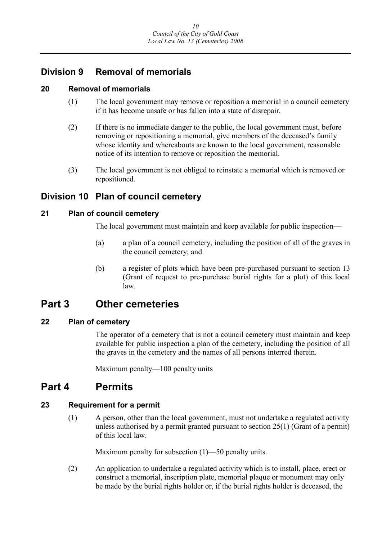# **Division 9 Removal of memorials**

# **20 Removal of memorials**

- (1) The local government may remove or reposition a memorial in a council cemetery if it has become unsafe or has fallen into a state of disrepair.
- (2) If there is no immediate danger to the public, the local government must, before removing or repositioning a memorial, give members of the deceased's family whose identity and whereabouts are known to the local government, reasonable notice of its intention to remove or reposition the memorial.
- (3) The local government is not obliged to reinstate a memorial which is removed or repositioned.

# **Division 10 Plan of council cemetery**

# **21 Plan of council cemetery**

The local government must maintain and keep available for public inspection—

- (a) a plan of a council cemetery, including the position of all of the graves in the council cemetery; and
- (b) a register of plots which have been pre-purchased pursuant to section 13 (Grant of request to pre-purchase burial rights for a plot) of this local law.

# **Part 3 Other cemeteries**

# **22 Plan of cemetery**

The operator of a cemetery that is not a council cemetery must maintain and keep available for public inspection a plan of the cemetery, including the position of all the graves in the cemetery and the names of all persons interred therein.

Maximum penalty—100 penalty units

# **Part 4 Permits**

# **23 Requirement for a permit**

(1) A person, other than the local government, must not undertake a regulated activity unless authorised by a permit granted pursuant to section 25(1) (Grant of a permit) of this local law.

Maximum penalty for subsection (1)—50 penalty units.

(2) An application to undertake a regulated activity which is to install, place, erect or construct a memorial, inscription plate, memorial plaque or monument may only be made by the burial rights holder or, if the burial rights holder is deceased, the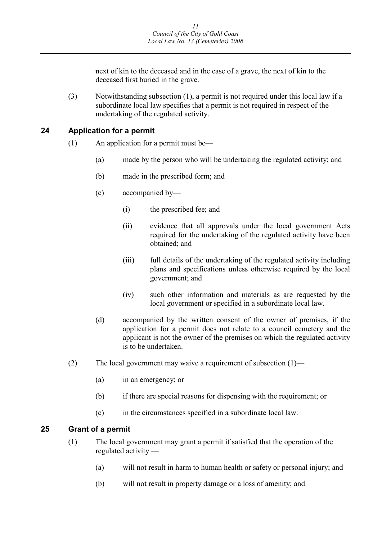next of kin to the deceased and in the case of a grave, the next of kin to the deceased first buried in the grave.

(3) Notwithstanding subsection (1), a permit is not required under this local law if a subordinate local law specifies that a permit is not required in respect of the undertaking of the regulated activity.

# **24 Application for a permit**

- (1) An application for a permit must be—
	- (a) made by the person who will be undertaking the regulated activity; and
	- (b) made in the prescribed form; and
	- (c) accompanied by—
		- (i) the prescribed fee; and
		- (ii) evidence that all approvals under the local government Acts required for the undertaking of the regulated activity have been obtained; and
		- (iii) full details of the undertaking of the regulated activity including plans and specifications unless otherwise required by the local government; and
		- (iv) such other information and materials as are requested by the local government or specified in a subordinate local law.
	- (d) accompanied by the written consent of the owner of premises, if the application for a permit does not relate to a council cemetery and the applicant is not the owner of the premises on which the regulated activity is to be undertaken.
- (2) The local government may waive a requirement of subsection  $(1)$ 
	- (a) in an emergency; or
	- (b) if there are special reasons for dispensing with the requirement; or
	- (c) in the circumstances specified in a subordinate local law.

### **25 Grant of a permit**

- (1) The local government may grant a permit if satisfied that the operation of the regulated activity —
	- (a) will not result in harm to human health or safety or personal injury; and
	- (b) will not result in property damage or a loss of amenity; and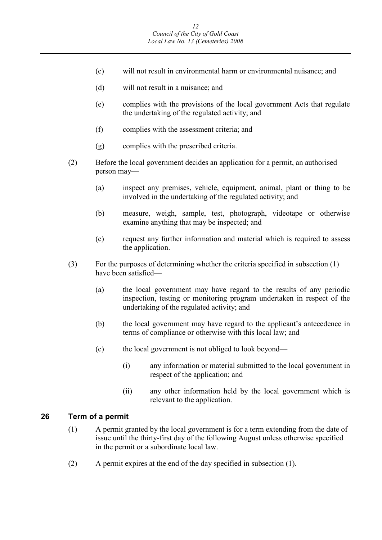- (c) will not result in environmental harm or environmental nuisance; and
- (d) will not result in a nuisance; and
- (e) complies with the provisions of the local government Acts that regulate the undertaking of the regulated activity; and
- (f) complies with the assessment criteria; and
- (g) complies with the prescribed criteria.
- (2) Before the local government decides an application for a permit, an authorised person may—
	- (a) inspect any premises, vehicle, equipment, animal, plant or thing to be involved in the undertaking of the regulated activity; and
	- (b) measure, weigh, sample, test, photograph, videotape or otherwise examine anything that may be inspected; and
	- (c) request any further information and material which is required to assess the application.
- (3) For the purposes of determining whether the criteria specified in subsection (1) have been satisfied—
	- (a) the local government may have regard to the results of any periodic inspection, testing or monitoring program undertaken in respect of the undertaking of the regulated activity; and
	- (b) the local government may have regard to the applicant's antecedence in terms of compliance or otherwise with this local law; and
	- (c) the local government is not obliged to look beyond—
		- (i) any information or material submitted to the local government in respect of the application; and
		- (ii) any other information held by the local government which is relevant to the application.

### **26 Term of a permit**

- (1) A permit granted by the local government is for a term extending from the date of issue until the thirty-first day of the following August unless otherwise specified in the permit or a subordinate local law.
- (2) A permit expires at the end of the day specified in subsection (1).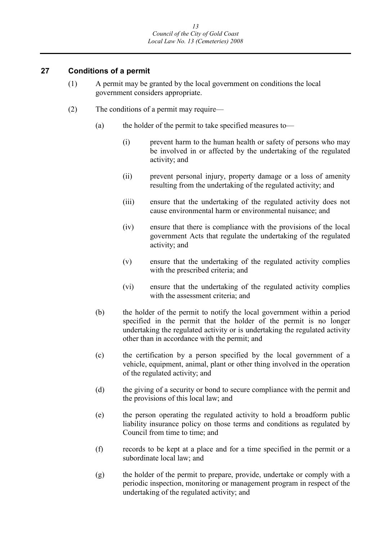# **27 Conditions of a permit**

- (1) A permit may be granted by the local government on conditions the local government considers appropriate.
- (2) The conditions of a permit may require—
	- (a) the holder of the permit to take specified measures to—
		- (i) prevent harm to the human health or safety of persons who may be involved in or affected by the undertaking of the regulated activity; and
		- (ii) prevent personal injury, property damage or a loss of amenity resulting from the undertaking of the regulated activity; and
		- (iii) ensure that the undertaking of the regulated activity does not cause environmental harm or environmental nuisance; and
		- (iv) ensure that there is compliance with the provisions of the local government Acts that regulate the undertaking of the regulated activity; and
		- (v) ensure that the undertaking of the regulated activity complies with the prescribed criteria; and
		- (vi) ensure that the undertaking of the regulated activity complies with the assessment criteria; and
	- (b) the holder of the permit to notify the local government within a period specified in the permit that the holder of the permit is no longer undertaking the regulated activity or is undertaking the regulated activity other than in accordance with the permit; and
	- (c) the certification by a person specified by the local government of a vehicle, equipment, animal, plant or other thing involved in the operation of the regulated activity; and
	- (d) the giving of a security or bond to secure compliance with the permit and the provisions of this local law; and
	- (e) the person operating the regulated activity to hold a broadform public liability insurance policy on those terms and conditions as regulated by Council from time to time; and
	- (f) records to be kept at a place and for a time specified in the permit or a subordinate local law; and
	- (g) the holder of the permit to prepare, provide, undertake or comply with a periodic inspection, monitoring or management program in respect of the undertaking of the regulated activity; and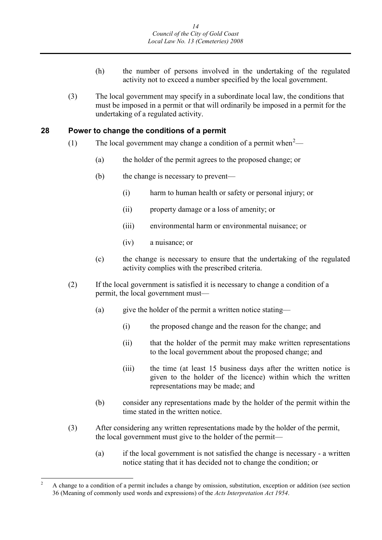- (h) the number of persons involved in the undertaking of the regulated activity not to exceed a number specified by the local government.
- (3) The local government may specify in a subordinate local law, the conditions that must be imposed in a permit or that will ordinarily be imposed in a permit for the undertaking of a regulated activity.

#### **28 Power to change the conditions of a permit**

- (1) The local government may change a condition of a permit when<sup>[2](#page-16-0)</sup>—
	- (a) the holder of the permit agrees to the proposed change; or
	- (b) the change is necessary to prevent—
		- (i) harm to human health or safety or personal injury; or
		- (ii) property damage or a loss of amenity; or
		- (iii) environmental harm or environmental nuisance; or
		- (iv) a nuisance; or
	- (c) the change is necessary to ensure that the undertaking of the regulated activity complies with the prescribed criteria.
- (2) If the local government is satisfied it is necessary to change a condition of a permit, the local government must—
	- (a) give the holder of the permit a written notice stating—
		- (i) the proposed change and the reason for the change; and
		- (ii) that the holder of the permit may make written representations to the local government about the proposed change; and
		- (iii) the time (at least 15 business days after the written notice is given to the holder of the licence) within which the written representations may be made; and
	- (b) consider any representations made by the holder of the permit within the time stated in the written notice.
- (3) After considering any written representations made by the holder of the permit, the local government must give to the holder of the permit—
	- (a) if the local government is not satisfied the change is necessary a written notice stating that it has decided not to change the condition; or

<span id="page-16-0"></span><sup>&</sup>lt;sup>2</sup> A change to a condition of a permit includes a change by omission, substitution, exception or addition (see section 36 (Meaning of commonly used words and expressions) of the *Acts Interpretation Act 1954*.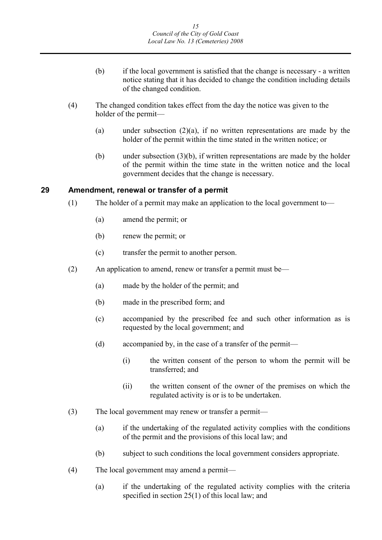- (b) if the local government is satisfied that the change is necessary a written notice stating that it has decided to change the condition including details of the changed condition.
- (4) The changed condition takes effect from the day the notice was given to the holder of the permit—
	- (a) under subsection  $(2)(a)$ , if no written representations are made by the holder of the permit within the time stated in the written notice; or
	- (b) under subsection (3)(b), if written representations are made by the holder of the permit within the time state in the written notice and the local government decides that the change is necessary.

#### **29 Amendment, renewal or transfer of a permit**

- (1) The holder of a permit may make an application to the local government to—
	- (a) amend the permit; or
	- (b) renew the permit; or
	- (c) transfer the permit to another person.
- (2) An application to amend, renew or transfer a permit must be—
	- (a) made by the holder of the permit; and
	- (b) made in the prescribed form; and
	- (c) accompanied by the prescribed fee and such other information as is requested by the local government; and
	- (d) accompanied by, in the case of a transfer of the permit—
		- (i) the written consent of the person to whom the permit will be transferred; and
		- (ii) the written consent of the owner of the premises on which the regulated activity is or is to be undertaken.
- (3) The local government may renew or transfer a permit—
	- (a) if the undertaking of the regulated activity complies with the conditions of the permit and the provisions of this local law; and
	- (b) subject to such conditions the local government considers appropriate.
- (4) The local government may amend a permit—
	- (a) if the undertaking of the regulated activity complies with the criteria specified in section 25(1) of this local law; and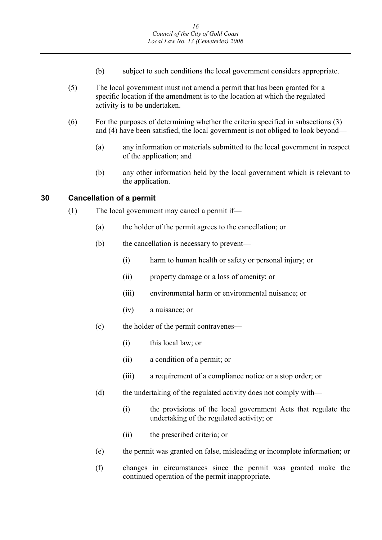- (b) subject to such conditions the local government considers appropriate.
- (5) The local government must not amend a permit that has been granted for a specific location if the amendment is to the location at which the regulated activity is to be undertaken.
- (6) For the purposes of determining whether the criteria specified in subsections (3) and (4) have been satisfied, the local government is not obliged to look beyond—
	- (a) any information or materials submitted to the local government in respect of the application; and
	- (b) any other information held by the local government which is relevant to the application.

# **30 Cancellation of a permit**

- (1) The local government may cancel a permit if—
	- (a) the holder of the permit agrees to the cancellation; or
	- (b) the cancellation is necessary to prevent—
		- (i) harm to human health or safety or personal injury; or
		- (ii) property damage or a loss of amenity; or
		- (iii) environmental harm or environmental nuisance; or
		- (iv) a nuisance; or
	- (c) the holder of the permit contravenes—
		- (i) this local law; or
		- (ii) a condition of a permit; or
		- (iii) a requirement of a compliance notice or a stop order; or
	- (d) the undertaking of the regulated activity does not comply with—
		- (i) the provisions of the local government Acts that regulate the undertaking of the regulated activity; or
		- (ii) the prescribed criteria; or
	- (e) the permit was granted on false, misleading or incomplete information; or
	- (f) changes in circumstances since the permit was granted make the continued operation of the permit inappropriate.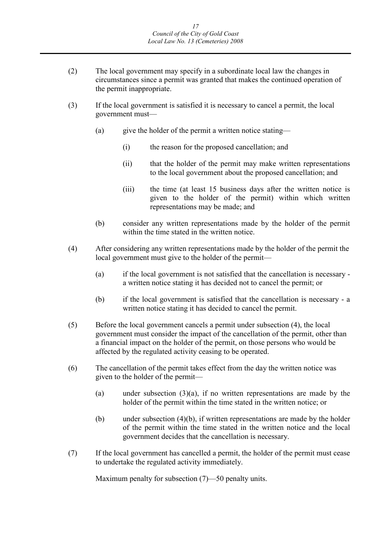- (2) The local government may specify in a subordinate local law the changes in circumstances since a permit was granted that makes the continued operation of the permit inappropriate.
- (3) If the local government is satisfied it is necessary to cancel a permit, the local government must—
	- (a) give the holder of the permit a written notice stating—
		- (i) the reason for the proposed cancellation; and
		- (ii) that the holder of the permit may make written representations to the local government about the proposed cancellation; and
		- (iii) the time (at least 15 business days after the written notice is given to the holder of the permit) within which written representations may be made; and
	- (b) consider any written representations made by the holder of the permit within the time stated in the written notice.
- (4) After considering any written representations made by the holder of the permit the local government must give to the holder of the permit—
	- (a) if the local government is not satisfied that the cancellation is necessary a written notice stating it has decided not to cancel the permit; or
	- (b) if the local government is satisfied that the cancellation is necessary a written notice stating it has decided to cancel the permit.
- (5) Before the local government cancels a permit under subsection (4), the local government must consider the impact of the cancellation of the permit, other than a financial impact on the holder of the permit, on those persons who would be affected by the regulated activity ceasing to be operated.
- (6) The cancellation of the permit takes effect from the day the written notice was given to the holder of the permit—
	- (a) under subsection (3)(a), if no written representations are made by the holder of the permit within the time stated in the written notice; or
	- (b) under subsection  $(4)(b)$ , if written representations are made by the holder of the permit within the time stated in the written notice and the local government decides that the cancellation is necessary.
- (7) If the local government has cancelled a permit, the holder of the permit must cease to undertake the regulated activity immediately.

Maximum penalty for subsection (7)—50 penalty units.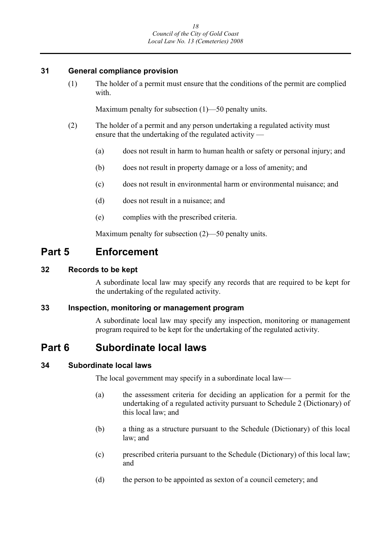### **31 General compliance provision**

(1) The holder of a permit must ensure that the conditions of the permit are complied with.

Maximum penalty for subsection (1)—50 penalty units.

- (2) The holder of a permit and any person undertaking a regulated activity must ensure that the undertaking of the regulated activity —
	- (a) does not result in harm to human health or safety or personal injury; and
	- (b) does not result in property damage or a loss of amenity; and
	- (c) does not result in environmental harm or environmental nuisance; and
	- (d) does not result in a nuisance; and
	- (e) complies with the prescribed criteria.

Maximum penalty for subsection (2)—50 penalty units.

# **Part 5 Enforcement**

## **32 Records to be kept**

A subordinate local law may specify any records that are required to be kept for the undertaking of the regulated activity.

### **33 Inspection, monitoring or management program**

A subordinate local law may specify any inspection, monitoring or management program required to be kept for the undertaking of the regulated activity.

# **Part 6 Subordinate local laws**

### **34 Subordinate local laws**

The local government may specify in a subordinate local law—

- (a) the assessment criteria for deciding an application for a permit for the undertaking of a regulated activity pursuant to Schedule 2 (Dictionary) of this local law; and
- (b) a thing as a structure pursuant to the Schedule (Dictionary) of this local law; and
- (c) prescribed criteria pursuant to the Schedule (Dictionary) of this local law; and
- (d) the person to be appointed as sexton of a council cemetery; and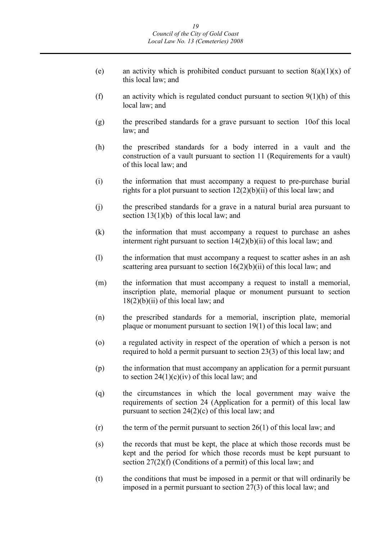- (e) an activity which is prohibited conduct pursuant to section  $8(a)(1)(x)$  of this local law; and
- (f) an activity which is regulated conduct pursuant to section  $9(1)(h)$  of this local law; and
- (g) the prescribed standards for a grave pursuant to section 10of this local law; and
- (h) the prescribed standards for a body interred in a vault and the construction of a vault pursuant to section 11 (Requirements for a vault) of this local law; and
- (i) the information that must accompany a request to pre-purchase burial rights for a plot pursuant to section  $12(2)(b)(ii)$  of this local law; and
- (j) the prescribed standards for a grave in a natural burial area pursuant to section 13(1)(b) of this local law; and
- (k) the information that must accompany a request to purchase an ashes interment right pursuant to section  $14(2)(b)(ii)$  of this local law; and
- (l) the information that must accompany a request to scatter ashes in an ash scattering area pursuant to section 16(2)(b)(ii) of this local law; and
- (m) the information that must accompany a request to install a memorial, inscription plate, memorial plaque or monument pursuant to section  $18(2)(b)(ii)$  of this local law; and
- (n) the prescribed standards for a memorial, inscription plate, memorial plaque or monument pursuant to section 19(1) of this local law; and
- (o) a regulated activity in respect of the operation of which a person is not required to hold a permit pursuant to section 23(3) of this local law; and
- (p) the information that must accompany an application for a permit pursuant to section  $24(1)(c)(iv)$  of this local law; and
- (q) the circumstances in which the local government may waive the requirements of section 24 (Application for a permit) of this local law pursuant to section 24(2)(c) of this local law; and
- $(r)$  the term of the permit pursuant to section 26(1) of this local law; and
- (s) the records that must be kept, the place at which those records must be kept and the period for which those records must be kept pursuant to section 27(2)(f) (Conditions of a permit) of this local law; and
- (t) the conditions that must be imposed in a permit or that will ordinarily be imposed in a permit pursuant to section 27(3) of this local law; and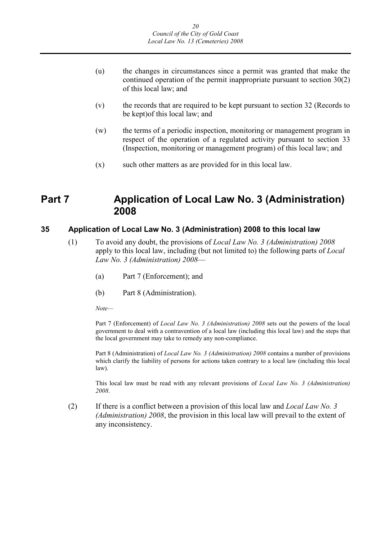- (u) the changes in circumstances since a permit was granted that make the continued operation of the permit inappropriate pursuant to section 30(2) of this local law; and
- (v) the records that are required to be kept pursuant to section 32 (Records to be kept)of this local law; and
- (w) the terms of a periodic inspection, monitoring or management program in respect of the operation of a regulated activity pursuant to section 33 (Inspection, monitoring or management program) of this local law; and
- $(x)$  such other matters as are provided for in this local law.

# **Part 7 Application of Local Law No. 3 (Administration) 2008**

# **35 Application of Local Law No. 3 (Administration) 2008 to this local law**

- (1) To avoid any doubt, the provisions of *Local Law No. 3 (Administration) 2008*  apply to this local law, including (but not limited to) the following parts of *Local Law No. 3 (Administration) 2008*—
	- (a) Part 7 (Enforcement); and
	- (b) Part 8 (Administration).

*Note—*

Part 7 (Enforcement) of *Local Law No. 3 (Administration) 2008* sets out the powers of the local government to deal with a contravention of a local law (including this local law) and the steps that the local government may take to remedy any non-compliance.

Part 8 (Administration) of *Local Law No. 3 (Administration) 2008* contains a number of provisions which clarify the liability of persons for actions taken contrary to a local law (including this local law).

This local law must be read with any relevant provisions of *Local Law No. 3 (Administration) 2008*.

(2) If there is a conflict between a provision of this local law and *Local Law No. 3 (Administration) 2008*, the provision in this local law will prevail to the extent of any inconsistency.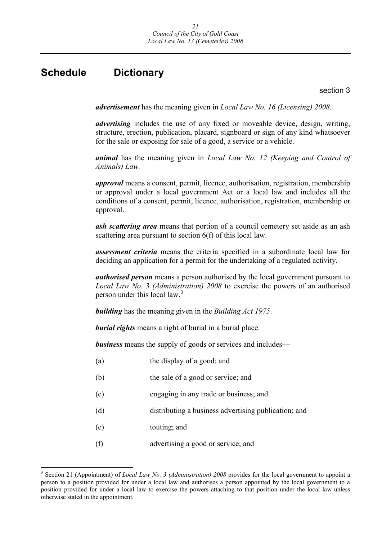# **Schedule Dictionary**

section 3

*advertisement* has the meaning given in *Local Law No. 16 (Licensing) 2008*.

*advertising* includes the use of any fixed or moveable device, design, writing, structure, erection, publication, placard, signboard or sign of any kind whatsoever for the sale or exposing for sale of a good, a service or a vehicle.

*animal* has the meaning given in *Local Law No. 12 (Keeping and Control of Animals) Law.*

*approval* means a consent, permit, licence, authorisation, registration, membership or approval under a local government Act or a local law and includes all the conditions of a consent, permit, licence, authorisation, registration, membership or approval.

*ash scattering area* means that portion of a council cemetery set aside as an ash scattering area pursuant to section 6(f) of this local law.

*assessment criteria* means the criteria specified in a subordinate local law for deciding an application for a permit for the undertaking of a regulated activity.

*authorised person* means a person authorised by the local government pursuant to *Local Law No. 3 (Administration) 2008* to exercise the powers of an authorised person under this local law.<sup>[3](#page-23-0)</sup>

*building* has the meaning given in the *Building Act 1975*.

*burial rights* means a right of burial in a burial place.

*business* means the supply of goods or services and includes—

| (a)<br>the display of a good; and |
|-----------------------------------|
|-----------------------------------|

- (b) the sale of a good or service; and
- (c) engaging in any trade or business; and
- (d) distributing a business advertising publication; and
- (e) touting; and
- (f) advertising a good or service; and

<span id="page-23-0"></span> <sup>3</sup> Section 21 (Appointment) of *Local Law No. 3 (Administration) 2008* provides for the local government to appoint a person to a position provided for under a local law and authorises a person appointed by the local government to a position provided for under a local law to exercise the powers attaching to that position under the local law unless otherwise stated in the appointment.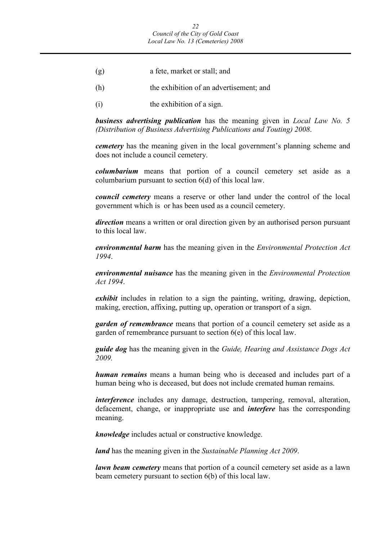- (g) a fete, market or stall; and
- (h) the exhibition of an advertisement; and
- (i) the exhibition of a sign.

*business advertising publication* has the meaning given in *Local Law No. 5 (Distribution of Business Advertising Publications and Touting) 2008*.

*cemetery* has the meaning given in the local government's planning scheme and does not include a council cemetery.

*columbarium* means that portion of a council cemetery set aside as a columbarium pursuant to section 6(d) of this local law.

*council cemetery* means a reserve or other land under the control of the local government which is or has been used as a council cemetery.

*direction* means a written or oral direction given by an authorised person pursuant to this local law.

*environmental harm* has the meaning given in the *Environmental Protection Act 1994*.

*environmental nuisance* has the meaning given in the *Environmental Protection Act 1994*.

*exhibit* includes in relation to a sign the painting, writing, drawing, depiction, making, erection, affixing, putting up, operation or transport of a sign.

*garden of remembrance* means that portion of a council cemetery set aside as a garden of remembrance pursuant to section 6(e) of this local law.

*guide dog* has the meaning given in the *Guide, Hearing and Assistance Dogs Act 2009.*

*human remains* means a human being who is deceased and includes part of a human being who is deceased, but does not include cremated human remains.

*interference* includes any damage, destruction, tampering, removal, alteration, defacement, change, or inappropriate use and *interfere* has the corresponding meaning.

*knowledge* includes actual or constructive knowledge.

*land* has the meaning given in the *Sustainable Planning Act 2009*.

*lawn beam cemetery* means that portion of a council cemetery set aside as a lawn beam cemetery pursuant to section 6(b) of this local law.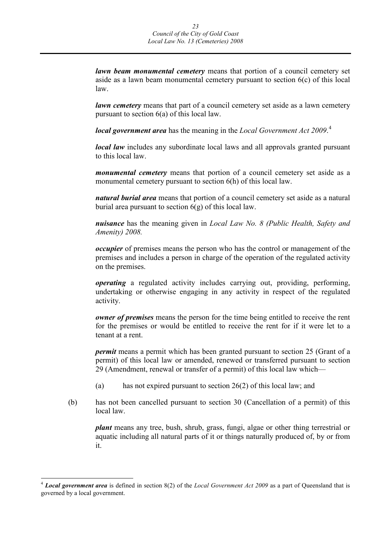*lawn beam monumental cemetery* means that portion of a council cemetery set aside as a lawn beam monumental cemetery pursuant to section 6(c) of this local law.

*lawn cemetery* means that part of a council cemetery set aside as a lawn cemetery pursuant to section 6(a) of this local law.

*local government area* has the meaning in the *Local Government Act 2009*. [4](#page-25-0)

*local law* includes any subordinate local laws and all approvals granted pursuant to this local law.

*monumental cemetery* means that portion of a council cemetery set aside as a monumental cemetery pursuant to section 6(h) of this local law.

*natural burial area* means that portion of a council cemetery set aside as a natural burial area pursuant to section  $6(g)$  of this local law.

*nuisance* has the meaning given in *Local Law No. 8 (Public Health, Safety and Amenity) 2008.*

*occupier* of premises means the person who has the control or management of the premises and includes a person in charge of the operation of the regulated activity on the premises.

*operating* a regulated activity includes carrying out, providing, performing, undertaking or otherwise engaging in any activity in respect of the regulated activity.

*owner of premises* means the person for the time being entitled to receive the rent for the premises or would be entitled to receive the rent for if it were let to a tenant at a rent.

*permit* means a permit which has been granted pursuant to section 25 (Grant of a permit) of this local law or amended, renewed or transferred pursuant to section 29 (Amendment, renewal or transfer of a permit) of this local law which—

- (a) has not expired pursuant to section 26(2) of this local law; and
- (b) has not been cancelled pursuant to section 30 (Cancellation of a permit) of this local law.

*plant* means any tree, bush, shrub, grass, fungi, algae or other thing terrestrial or aquatic including all natural parts of it or things naturally produced of, by or from it.

<span id="page-25-0"></span> <sup>4</sup> *Local government area* is defined in section 8(2) of the *Local Government Act 2009* as a part of Queensland that is governed by a local government.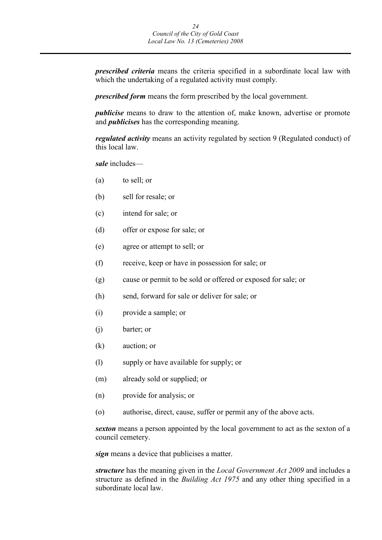*prescribed criteria* means the criteria specified in a subordinate local law with which the undertaking of a regulated activity must comply.

*prescribed form* means the form prescribed by the local government.

*publicise* means to draw to the attention of, make known, advertise or promote and *publicises* has the corresponding meaning.

*regulated activity* means an activity regulated by section 9 (Regulated conduct) of this local law.

*sale* includes—

- (a) to sell; or
- (b) sell for resale; or
- (c) intend for sale; or
- (d) offer or expose for sale; or
- (e) agree or attempt to sell; or
- (f) receive, keep or have in possession for sale; or
- (g) cause or permit to be sold or offered or exposed for sale; or
- (h) send, forward for sale or deliver for sale; or
- (i) provide a sample; or
- (j) barter; or
- (k) auction; or
- (l) supply or have available for supply; or
- (m) already sold or supplied; or
- (n) provide for analysis; or
- (o) authorise, direct, cause, suffer or permit any of the above acts.

*sexton* means a person appointed by the local government to act as the sexton of a council cemetery.

*sign* means a device that publicises a matter.

*structure* has the meaning given in the *Local Government Act 2009* and includes a structure as defined in the *Building Act 1975* and any other thing specified in a subordinate local law.